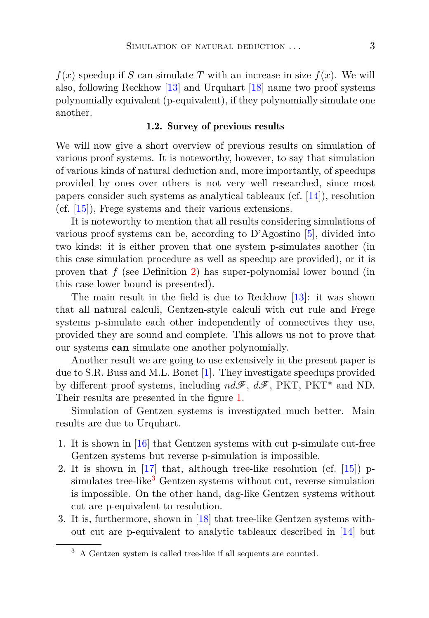$f(x)$  speedup if *S* can simulate *T* with an increase in size  $f(x)$ . We will also, following Reckhow [\[13\]](#page-17-0) and Urquhart [\[18\]](#page-17-1) name two proof systems polynomially equivalent (p-equivalent), if they polynomially simulate one another.

#### 1.2. Survey of previous results

We will now give a short overview of previous results on simulation of various proof systems. It is noteworthy, however, to say that simulation of various kinds of natural deduction and, more importantly, of speedups provided by ones over others is not very well researched, since most papers consider such systems as analytical tableaux (cf. [\[14\]](#page-17-2)), resolution (cf. [\[15\]](#page-17-3)), Frege systems and their various extensions.

It is noteworthy to mention that all results considering simulations of various proof systems can be, according to D'Agostino [\[5\]](#page-17-4), divided into two kinds: it is either proven that one system p-simulates another (in this case simulation procedure as well as speedup are provided), or it is proven that *f* (see Definition [2\)](#page-1-0) has super-polynomial lower bound (in this case lower bound is presented).

The main result in the field is due to Reckhow [\[13\]](#page-17-0): it was shown that all natural calculi, Gentzen-style calculi with cut rule and Frege systems p-simulate each other independently of connectives they use, provided they are sound and complete. This allows us not to prove that our systems **can** simulate one another polynomially.

Another result we are going to use extensively in the present paper is due to S.R. Buss and M.L. Bonet [\[1\]](#page-16-0). They investigate speedups provided by different proof systems, including *nd*F, *d*F, PKT, PKT\* and ND. Their results are presented in the figure [1.](#page-3-0)

Simulation of Gentzen systems is investigated much better. Main results are due to Urquhart.

- 1. It is shown in [\[16\]](#page-17-5) that Gentzen systems with cut p-simulate cut-free Gentzen systems but reverse p-simulation is impossible.
- 2. It is shown in [\[17\]](#page-17-6) that, although tree-like resolution (cf. [\[15\]](#page-17-3)) p-simulates tree-like<sup>[3](#page-2-0)</sup> Gentzen systems without cut, reverse simulation is impossible. On the other hand, dag-like Gentzen systems without cut are p-equivalent to resolution.
- 3. It is, furthermore, shown in [\[18\]](#page-17-1) that tree-like Gentzen systems without cut are p-equivalent to analytic tableaux described in [\[14\]](#page-17-2) but

<span id="page-2-0"></span><sup>3</sup> A Gentzen system is called tree-like if all sequents are counted.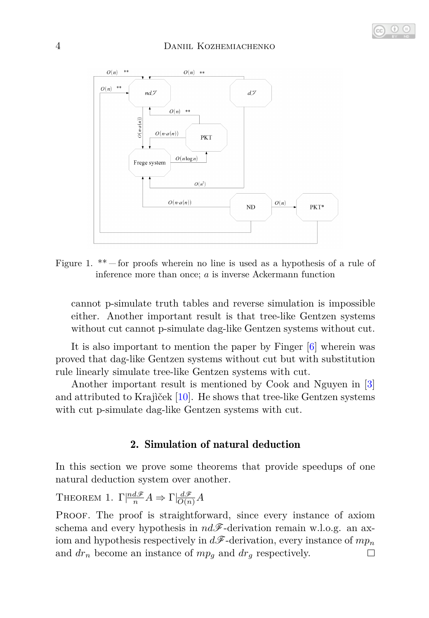

<span id="page-3-0"></span>Figure 1.  $**$  – for proofs wherein no line is used as a hypothesis of a rule of inference more than once; *a* is inverse Ackermann function

cannot p-simulate truth tables and reverse simulation is impossible either. Another important result is that tree-like Gentzen systems without cut cannot p-simulate dag-like Gentzen systems without cut.

It is also important to mention the paper by Finger [\[6\]](#page-17-7) wherein was proved that dag-like Gentzen systems without cut but with substitution rule linearly simulate tree-like Gentzen systems with cut.

Another important result is mentioned by Cook and Nguyen in [\[3\]](#page-16-1) and attributed to Krajìček [\[10\]](#page-17-8). He shows that tree-like Gentzen systems with cut p-simulate dag-like Gentzen systems with cut.

## 2. Simulation of natural deduction

In this section we prove some theorems that provide speedups of one natural deduction system over another.

<span id="page-3-1"></span>**THEOREM 1.**  $\Gamma \vert \frac{nd\mathscr{F}}{n} A \Rightarrow \Gamma \vert \frac{d\mathscr{F}}{O(n)} A$ 

PROOF. The proof is straightforward, since every instance of axiom schema and every hypothesis in  $nd\mathscr{F}$ -derivation remain w.l.o.g. an axiom and hypothesis respectively in *d*F-derivation, every instance of *mp<sup>n</sup>* and  $dr_n$  become an instance of  $mp_q$  and  $dr_q$  respectively.  $\Box$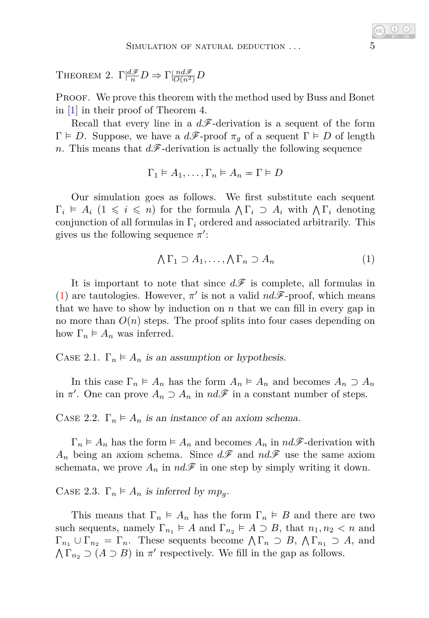THEOREM 2.  $\Gamma \vert \frac{d\mathscr{F}}{n} D \Rightarrow \Gamma \vert \frac{nd\mathscr{F}}{O(n^2)} D$ 

PROOF. We prove this theorem with the method used by Buss and Bonet in [\[1\]](#page-16-0) in their proof of Theorem 4.

Recall that every line in a  $d\mathscr{F}$ -derivation is a sequent of the form  $Γ ⊢ D$ . Suppose, we have a  $d\mathscr{F}$ -proof  $π<sub>q</sub>$  of a sequent  $Γ ⊢ D$  of length *n*. This means that  $d\mathcal{F}$ -derivation is actually the following sequence

$$
\Gamma_1 \vDash A_1, \ldots, \Gamma_n \vDash A_n = \Gamma \vDash D
$$

Our simulation goes as follows. We first substitute each sequent  $\Gamma_i \models A_i \ (1 \leq i \leq n)$  for the formula  $\bigwedge \Gamma_i \supset A_i$  with  $\bigwedge \Gamma_i$  denoting conjunction of all formulas in Γ*<sup>i</sup>* ordered and associated arbitrarily. This gives us the following sequence  $\pi'$ :

<span id="page-4-0"></span>
$$
\bigwedge \Gamma_1 \supset A_1, \dots, \bigwedge \Gamma_n \supset A_n \tag{1}
$$

It is important to note that since  $d\mathscr{F}$  is complete, all formulas in [\(1\)](#page-4-0) are tautologies. However,  $\pi'$  is not a valid  $nd\mathscr{F}$ -proof, which means that we have to show by induction on  $n$  that we can fill in every gap in no more than *O*(*n*) steps. The proof splits into four cases depending on how  $\Gamma_n \models A_n$  was inferred.

CASE 2.1.  $\Gamma_n \models A_n$  is an assumption or hypothesis.

In this case  $\Gamma_n \models A_n$  has the form  $A_n \models A_n$  and becomes  $A_n \supset A_n$ in  $\pi'$ . One can prove  $A_n \supset A_n$  in  $nd\mathscr{F}$  in a constant number of steps.

CASE 2.2.  $\Gamma_n \models A_n$  is an instance of an axiom schema.

 $\Gamma_n \models A_n$  has the form  $\models A_n$  and becomes  $A_n$  in  $nd\mathscr{F}$ -derivation with  $A_n$  being an axiom schema. Since  $d\mathscr{F}$  and  $nd\mathscr{F}$  use the same axiom schemata, we prove  $A_n$  in  $nd\mathscr{F}$  in one step by simply writing it down.

CASE 2.3.  $\Gamma_n \models A_n$  is inferred by  $mp_q$ .

This means that  $\Gamma_n \models A_n$  has the form  $\Gamma_n \models B$  and there are two such sequents, namely  $\Gamma_{n_1} \models A$  and  $\Gamma_{n_2} \models A \supset B$ , that  $n_1, n_2 < n$  and  $\Gamma_{n_1} \cup \Gamma_{n_2} = \Gamma_n$ . These sequents become  $\bigwedge \Gamma_n \supset B$ ,  $\bigwedge \Gamma_{n_1} \supset A$ , and  $\bigwedge \Gamma_{n_2} \supset (A \supset B)$  in  $\pi'$  respectively. We fill in the gap as follows.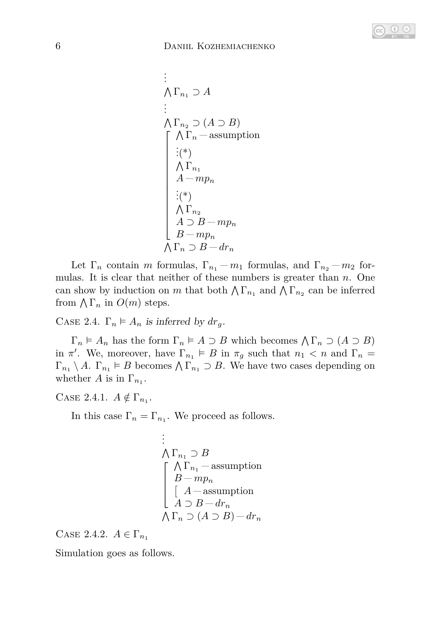

$$
\begin{array}{l}\n\vdots \\
\bigwedge \Gamma_{n_1} \supset A \\
\vdots \\
\bigwedge \Gamma_{n_2} \supset (A \supset B) \\
\bigwedge \Gamma_n \quad \text{assumption} \\
\vdots (\ast) \\
\bigwedge \Gamma_{n_1} \\
A - mp_n \\
\vdots (\ast) \\
\bigwedge \Gamma_{n_2} \\
B - mp_n \\
\bigwedge \Gamma_n \supset B - dr_n\n\end{array}
$$

Let  $\Gamma_n$  contain *m* formulas,  $\Gamma_{n_1} - m_1$  formulas, and  $\Gamma_{n_2} - m_2$  formulas. It is clear that neither of these numbers is greater than *n*. One can show by induction on *m* that both  $\bigwedge \Gamma_{n_1}$  and  $\bigwedge \Gamma_{n_2}$  can be inferred from  $\bigwedge \Gamma_n$  in  $O(m)$  steps.

CASE 2.4.  $\Gamma_n \models A_n$  is inferred by  $dr_q$ .

 $\Gamma_n \models A_n$  has the form  $\Gamma_n \models A \supset B$  which becomes  $\bigwedge \Gamma_n \supset (A \supset B)$ in  $\pi'$ . We, moreover, have  $\Gamma_{n_1} \models B$  in  $\pi_g$  such that  $n_1 < n$  and  $\Gamma_n =$  $\Gamma_{n_1} \setminus A$ .  $\Gamma_{n_1} \models B$  becomes  $\bigwedge \Gamma_{n_1} \supset B$ . We have two cases depending on whether *A* is in  $\Gamma_{n_1}$ .

CASE 2.4.1.  $A \notin \Gamma_{n_1}$ .

In this case  $\Gamma_n = \Gamma_{n_1}$ . We proceed as follows.

$$
\begin{array}{l}\n\vdots \\
\bigwedge \Gamma_{n_1} \supset B \\
\begin{bmatrix}\n\bigwedge \Gamma_{n_1} - \text{assumption} \\
B - mp_n \\
\begin{bmatrix}\nA - \text{assumption} \\
A \supset B - dr_n\n\end{bmatrix} \\
\bigwedge \Gamma_n \supset (A \supset B) - dr_n\n\end{array}
$$

CASE 2.4.2.  $A \in \Gamma_{n_1}$ 

Simulation goes as follows.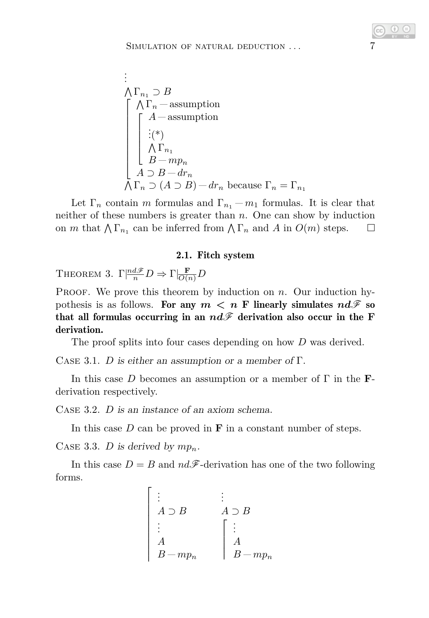$$
\begin{array}{l}\n\vdots \\
\bigwedge \Gamma_{n_1} \supset B \\
\begin{bmatrix}\n\bigwedge \Gamma_n \quad \text{assumption} \\
\vdots \\
\bigwedge \Gamma_{n_1} \\
\bigwedge \Gamma_{n_1} \\
B - mp_n \\
A \supset B - dr_n \\
\bigwedge \Gamma_n \supset (A \supset B) - dr_n \text{ because } \Gamma_n = \Gamma_{n_1}\n\end{bmatrix}\n\end{array}
$$

Let  $\Gamma_n$  contain *m* formulas and  $\Gamma_{n_1} - m_1$  formulas. It is clear that neither of these numbers is greater than *n*. One can show by induction on *m* that  $\bigwedge \Gamma_{n_1}$  can be inferred from  $\bigwedge \Gamma_n$  and *A* in  $O(m)$  steps.  $\Box$ 

#### 2.1. Fitch system

THEOREM 3.  $\Gamma \left| \frac{nd\mathscr{F}}{n} D \right| \Rightarrow \Gamma \left| \frac{\mathbf{F}}{O(n)} D \right|$ 

PROOF. We prove this theorem by induction on *n*. Our induction hypothesis is as follows. For any  $m < n$  F linearly simulates  $nd\mathcal{F}$  so that all formulas occurring in an  $nd\mathscr{F}$  derivation also occur in the F derivation.

The proof splits into four cases depending on how *D* was derived.

CASE 3.1. *D* is either an assumption or a member of  $\Gamma$ .

In this case *D* becomes an assumption or a member of Γ in the **F**derivation respectively.

Case 3.2. *D* is an instance of an axiom schema.

In this case  $D$  can be proved in  $\bf{F}$  in a constant number of steps.

CASE 3.3. *D* is derived by  $mp_n$ .

In this case  $D = B$  and  $nd\mathscr{F}$ -derivation has one of the two following forms.

$$
\begin{bmatrix}\n\vdots & \vdots & \vdots \\
A \supset B & A \supset B \\
\vdots & \vdots & \vdots \\
A & A \\
B - mp_n & B - mp_n\n\end{bmatrix}
$$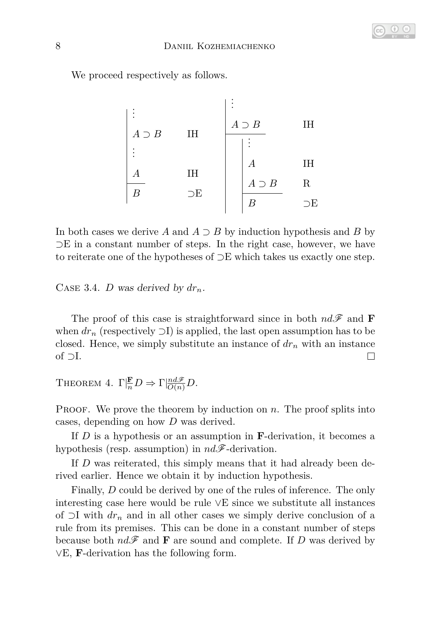

We proceed respectively as follows.

. . . . . . *A* ⊃ *B* IH *A* ⊃ *B* IH . . . . . . *A* IH *A* IH *A* ⊃ *B* R *B* ⊃E *B* ⊃E 

In both cases we derive *A* and *A* ⊃ *B* by induction hypothesis and *B* by ⊃E in a constant number of steps. In the right case, however, we have to reiterate one of the hypotheses of ⊃E which takes us exactly one step.

CASE 3.4. *D* was derived by  $dr_n$ .

The proof of this case is straightforward since in both  $nd\mathcal{F}$  and **F** when  $dr_n$  (respectively  $\supset I$ ) is applied, the last open assumption has to be closed. Hence, we simply substitute an instance of *dr<sup>n</sup>* with an instance of ⊃I.  $\Box$ 

THEOREM 4.  $\Gamma \vert \frac{\mathbf{F}}{n} D \Rightarrow \Gamma \vert \frac{nd\mathcal{F}}{O(n)} D$ .

PROOF. We prove the theorem by induction on *n*. The proof splits into cases, depending on how *D* was derived.

If *D* is a hypothesis or an assumption in **F**-derivation, it becomes a hypothesis (resp. assumption) in *nd*F-derivation.

If *D* was reiterated, this simply means that it had already been derived earlier. Hence we obtain it by induction hypothesis.

Finally, *D* could be derived by one of the rules of inference. The only interesting case here would be rule ∨E since we substitute all instances of ⊃I with *dr<sup>n</sup>* and in all other cases we simply derive conclusion of a rule from its premises. This can be done in a constant number of steps because both  $nd\mathcal{F}$  and **F** are sound and complete. If *D* was derived by ∨E, **F**-derivation has the following form.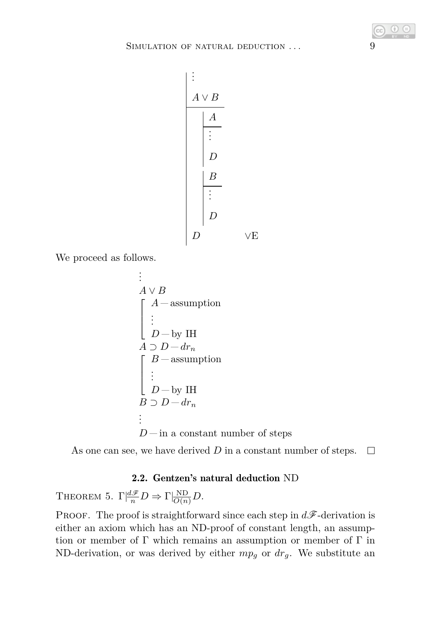

We proceed as follows.

$$
∴ A ∨ B\nA → asumption\n
$$
∴ D - by IH\nA ∃ D - drn
$$
\n
$$
B - assumption\n
$$
∴ D - by IH\nB ∑ D - drn
$$
\n
$$
∴ D - in a constant number of steps
$$
$$
$$

As one can see, we have derived *D* in a constant number of steps.  $\Box$ 

## 2.2. Gentzen's natural deduction ND

THEOREM 5.  $\Gamma \left| \frac{d\mathscr{F}}{n} D \right| \to \Gamma \left| \frac{ND}{O(n)} D \right|$ .

PROOF. The proof is straightforward since each step in  $d\mathscr{F}$ -derivation is either an axiom which has an ND-proof of constant length, an assumption or member of  $\Gamma$  which remains an assumption or member of  $\Gamma$  in ND-derivation, or was derived by either  $mp<sub>g</sub>$  or  $dr<sub>g</sub>$ . We substitute an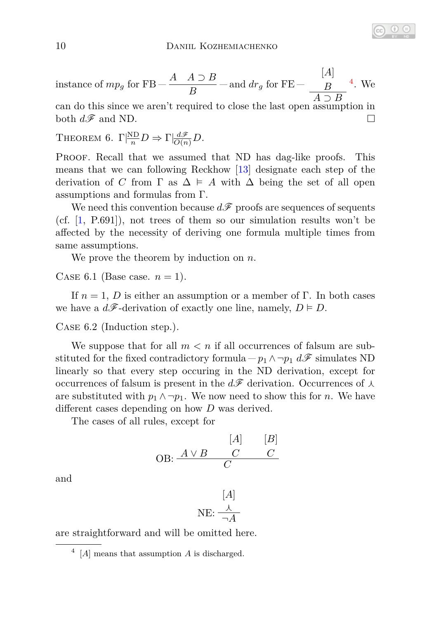instance of 
$$
mp_g
$$
 for FB  $-\frac{A \quad A \supset B}{B}$  – and  $dr_g$  for FE  $-\frac{[A]}{A \supset B}$ <sup>4</sup>. We

can do this since we aren't required to close the last open assumption in both  $d\mathscr{F}$  and ND.  $\Box$ 

THEOREM 6. 
$$
\Gamma \vert \frac{\text{ND}}{n} D \Rightarrow \Gamma \vert \frac{d\mathcal{F}}{O(n)} D
$$
.

PROOF. Recall that we assumed that ND has dag-like proofs. This means that we can following Reckhow [\[13\]](#page-17-0) designate each step of the derivation of *C* from  $\Gamma$  as  $\Delta \models A$  with  $\Delta$  being the set of all open assumptions and formulas from Γ.

We need this convention because  $d\mathscr{F}$  proofs are sequences of sequents (cf. [\[1,](#page-16-0) P.691]), not trees of them so our simulation results won't be affected by the necessity of deriving one formula multiple times from same assumptions.

We prove the theorem by induction on *n*.

CASE 6.1 (Base case.  $n = 1$ ).

If  $n = 1$ , *D* is either an assumption or a member of Γ. In both cases we have a  $d\mathscr{F}$ -derivation of exactly one line, namely,  $D \models D$ .

Case 6.2 (Induction step.).

We suppose that for all  $m < n$  if all occurrences of falsum are substituted for the fixed contradictory formula  $-p_1 \wedge \neg p_1 d\mathcal{F}$  simulates ND linearly so that every step occuring in the ND derivation, except for occurrences of falsum is present in the  $d\mathscr{F}$  derivation. Occurrences of  $\lambda$ are substituted with  $p_1 \wedge \neg p_1$ . We now need to show this for *n*. We have different cases depending on how *D* was derived.

The cases of all rules, except for

$$
\begin{array}{cc}\n & [A] & [B] \\
\text{OB:} & \xrightarrow{A \vee B} & C & C \\
\hline\nC & & & \n\end{array}
$$

and

$$
[A]
$$
  
NE: 
$$
\frac{\lambda}{\neg A}
$$

are straightforward and will be omitted here.

<span id="page-9-0"></span><sup>4</sup> [*A*] means that assumption *A* is discharged.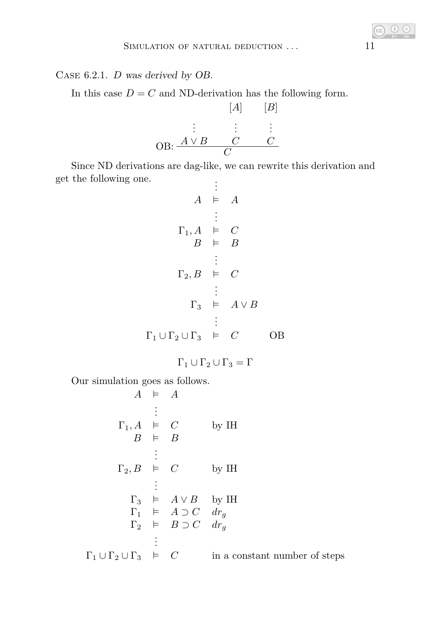Case 6.2.1. *D* was derived by OB.

In this case  $D = C$  and ND-derivation has the following form.

$$
[A] \qquad [B]
$$
\n
$$
\vdots \qquad \vdots \qquad \vdots
$$
\n
$$
OB: \frac{A \vee B \qquad C \qquad C}{C}
$$

Since ND derivations are dag-like, we can rewrite this derivation and get the following one. .

$$
\vdots
$$
\n
$$
\vdots
$$
\n
$$
A \models A
$$
\n
$$
\vdots
$$
\n
$$
\Gamma_1, A \models C
$$
\n
$$
B \models B
$$
\n
$$
\vdots
$$
\n
$$
\Gamma_2, B \models C
$$
\n
$$
\vdots
$$
\n
$$
\Gamma_3 \models A \lor B
$$
\n
$$
\vdots
$$
\n
$$
\Gamma_1 \cup \Gamma_2 \cup \Gamma_3 \models C
$$
\n
$$
\Box B
$$

$$
\Gamma_1\cup\Gamma_2\cup\Gamma_3=\Gamma
$$

Our simulation goes as follows.

$$
A \models A
$$
\n
$$
\vdots
$$
\n
$$
\Gamma_1, A \models C
$$
\n
$$
\vdots
$$
\n
$$
\Gamma_2, B \models C
$$
\n
$$
\vdots
$$
\n
$$
\Gamma_3 \models A \lor B
$$
\n
$$
\Gamma_1 \models A \supset C \quad d_{Tg}
$$
\n
$$
\Gamma_2 \models B \supset C \quad d_{Tg}
$$
\n
$$
\vdots
$$
\n
$$
\Gamma_1 \cup \Gamma_2 \cup \Gamma_3 \models C
$$
\nin a constant number of steps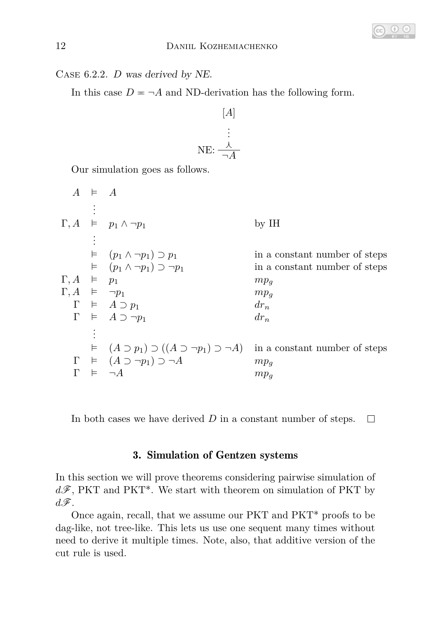

Case 6.2.2. *D* was derived by NE.

In this case  $D = \neg A$  and ND-derivation has the following form.

$$
[A] \qquad \qquad [A]
$$
  

$$
\vdots
$$
  

$$
NE: \frac{\lambda}{\neg A}
$$

Our simulation goes as follows.

 $A \neq A$ . . .  $\Gamma, A \models p_1 \land \neg p_1$  by IH . . .  $\vdash$   $(p_1 \land \neg p_1) \supset p_1$  in a constant number of steps<br>  $\vdash$   $(p_1 \land \neg p_1) \supset \neg p_1$  in a constant number of steps  $\mu$  in a constant number of steps  $\Gamma, A \models p_1$  *mp<sub>g</sub>*  $\Gamma, A \models \neg p_1$  *mp<sub>g</sub>*  $\Gamma \vDash A \supset p_1$  *dr<sub>n</sub>*  $\Gamma \vDash A \supset \neg p_1$  *dr<sub>n</sub>* . . .  $\vdash$  (*A* ⊃ *p*<sub>1</sub>) ⊃ ((*A* ⊃ ¬*p*<sub>1</sub>) ⊃ ¬*A*) in a constant number of steps  $\Gamma \vDash (A \supset \neg p_1) \supset \neg A$  *mp<sub>g</sub>*  $\Gamma \vDash \neg A$  *mp<sub>g</sub>* 

In both cases we have derived *D* in a constant number of steps.  $\Box$ 

# 3. Simulation of Gentzen systems

In this section we will prove theorems considering pairwise simulation of  $d\mathscr{F}$ , PKT and PKT<sup>\*</sup>. We start with theorem on simulation of PKT by  $d\mathscr{F}$ .

<span id="page-11-0"></span>Once again, recall, that we assume our PKT and PKT\* proofs to be dag-like, not tree-like. This lets us use one sequent many times without need to derive it multiple times. Note, also, that additive version of the cut rule is used.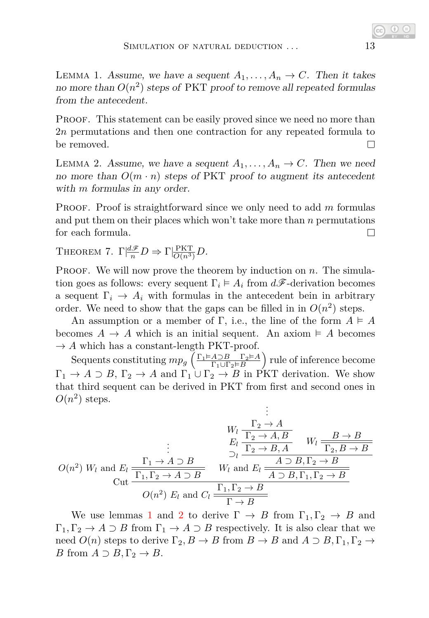LEMMA 1. Assume, we have a sequent  $A_1, \ldots, A_n \to C$ . Then it takes no more than  $O(n^2)$  steps of PKT proof to remove all repeated formulas from the antecedent.

PROOF. This statement can be easily proved since we need no more than 2*n* permutations and then one contraction for any repeated formula to be removed.  $\Box$ 

<span id="page-12-0"></span>LEMMA 2. Assume, we have a sequent  $A_1, \ldots, A_n \to C$ . Then we need no more than  $O(m \cdot n)$  steps of PKT proof to augment its antecedent with *m* formulas in any order.

Proof. Proof is straightforward since we only need to add *m* formulas and put them on their places which won't take more than *n* permutations for each formula.  $\Box$ 

<span id="page-12-1"></span>THEOREM 7.  $\Gamma \left| \frac{d\mathscr{F}}{n} D \right| \Rightarrow \Gamma \left| \frac{PKT}{O(n^3)} D \right|$ .

PROOF. We will now prove the theorem by induction on *n*. The simulation goes as follows: every sequent  $\Gamma_i \models A_i$  from  $d\mathscr{F}$ -derivation becomes a sequent  $\Gamma_i \to A_i$  with formulas in the antecedent bein in arbitrary order. We need to show that the gaps can be filled in in  $O(n^2)$  steps.

An assumption or a member of Γ, i.e., the line of the form  $A \models A$ becomes  $A \to A$  which is an initial sequent. An axiom  $\models A$  becomes  $\rightarrow$  *A* which has a constant-length PKT-proof.

Sequents constituting  $mp_g \left( \frac{\Gamma_1 \models A \supset B}{\Gamma_1 \cup \Gamma_2 \models B} \frac{\Gamma_2 \models A}{B} \right)$  $\frac{A \supset B}{\Gamma_1 \cup \Gamma_2 \vDash B}$  rule of inference become  $\Gamma_1 \to A \supset B$ ,  $\Gamma_2 \to A$  and  $\Gamma_1 \cup \Gamma_2 \to B$  in PKT derivation. We show that third sequent can be derived in PKT from first and second ones in  $O(n^2)$  steps. .

$$
U_{l} \frac{\Gamma_{2} \rightarrow A}{\Gamma_{2} \rightarrow A, B} \qquad W_{l} \frac{B \rightarrow B}{\Gamma_{2} \rightarrow B, A}
$$
\n
$$
= \frac{\Gamma_{1} \rightarrow A \supset B}{\Gamma_{1} \Gamma_{2} \rightarrow B, A} \qquad W_{l} \frac{B \rightarrow B}{\Gamma_{2} \rightarrow B, B}
$$
\n
$$
= \frac{\Gamma_{1} \rightarrow A \supset B}{\Gamma_{1} \Gamma_{2} \rightarrow A \supset B} \qquad W_{l} \text{ and } E_{l} \frac{A \supset B, \Gamma_{2} \rightarrow B}{\overline{A \supset B, \Gamma_{1}, \Gamma_{2} \rightarrow B}}
$$
\n
$$
= \frac{O(n^{2}) E_{l} \text{ and } C_{l} \frac{\Gamma_{1}, \Gamma_{2} \rightarrow B}{\Gamma \rightarrow B}}
$$

We use lemmas [1](#page-11-0) and [2](#page-12-0) to derive  $\Gamma \to B$  from  $\Gamma_1, \Gamma_2 \to B$  and  $\Gamma_1, \Gamma_2 \to A \supset B$  from  $\Gamma_1 \to A \supset B$  respectively. It is also clear that we need  $O(n)$  steps to derive  $\Gamma_2, B \to B$  from  $B \to B$  and  $A \supset B, \Gamma_1, \Gamma_2 \to$ *B* from  $A \supset B, \Gamma_2 \rightarrow B$ .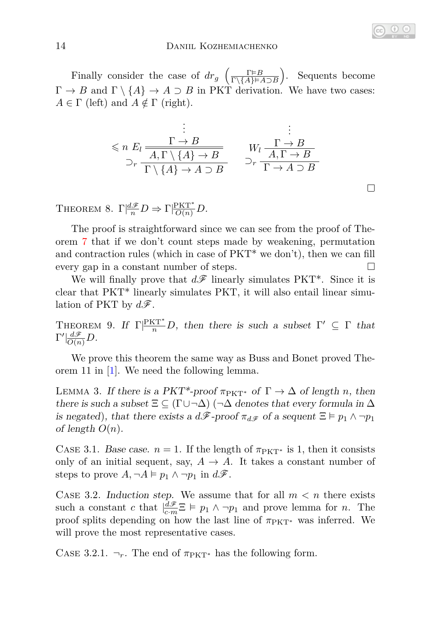Finally consider the case of  $dr_g$   $\left(\frac{\Gamma \models B}{\Gamma \setminus \{A\} \models A \supset B}\right)$ . Sequents become  $\Gamma \to B$  and  $\Gamma \setminus \{A\} \to A \supset B$  in PKT derivation. We have two cases:  $A \in \Gamma$  (left) and  $A \notin \Gamma$  (right).

$$
\begin{array}{ccc}\n & \vdots & \vdots \\
\leq n \ E_l \frac{\Gamma \to B}{\mathcal{A}, \Gamma \setminus \{A\} \to B} & & W_l \frac{\Gamma \to B}{\mathcal{A}, \Gamma \to B} \\
\supset_{r} \frac{\Gamma \setminus \{A\} \to A \supset B}{\Gamma \setminus \{A\} \to A \supset B} & & \supset_{r} \frac{\Gamma \to A \supset B}{\Gamma \to A \supset B}\n\end{array}
$$

 $\Box$ 

THEOREM 8.  $\Gamma \left| \frac{d\mathscr{F}}{n} D \right| \to \Gamma \left| \frac{PKT^*}{O(n)} D \right|$ .

The proof is straightforward since we can see from the proof of Theorem [7](#page-12-1) that if we don't count steps made by weakening, permutation and contraction rules (which in case of  $PKT^*$  we don't), then we can fill every gap in a constant number of steps.

We will finally prove that  $d\mathscr{F}$  linearly simulates PKT<sup>\*</sup>. Since it is clear that PKT\* linearly simulates PKT, it will also entail linear simulation of PKT by  $d\mathscr{F}$ .

<span id="page-13-0"></span>THEOREM 9. If  $\Gamma|\frac{PKT^*}{n}D$ , then there is such a subset  $\Gamma' \subseteq \Gamma$  that  $\Gamma' \vert \frac{d\mathscr{F}}{O(n)} D$ .

We prove this theorem the same way as Buss and Bonet proved Theorem 11 in [\[1\]](#page-16-0). We need the following lemma.

<span id="page-13-1"></span>LEMMA 3. If there is a PKT<sup>\*</sup>-proof  $\pi_{PKT^*}$  of  $\Gamma \to \Delta$  of length *n*, then there is such a subset  $\Xi \subseteq (\Gamma \cup \neg \Delta)$  ( $\neg \Delta$  denotes that every formula in  $\Delta$ is negated), that there exists a  $d\mathscr{F}$ -proof  $\pi_{d\mathscr{F}}$  of a sequent  $\Xi \models p_1 \land \neg p_1$ of length  $O(n)$ .

CASE 3.1. Base case.  $n = 1$ . If the length of  $\pi_{\text{PKT}*}$  is 1, then it consists only of an initial sequent, say,  $A \rightarrow A$ . It takes a constant number of steps to prove  $A, \neg A \models p_1 \land \neg p_1$  in  $d\mathscr{F}$ .

CASE 3.2. Induction step. We assume that for all  $m < n$  there exists such a constant *c* that  $\left| \frac{d\mathcal{F}}{c \cdot m} \mathbb{E} \right| \models p_1 \land \neg p_1$  and prove lemma for *n*. The proof splits depending on how the last line of  $\pi_{PKT^*}$  was inferred. We will prove the most representative cases.

CASE 3.2.1.  $\neg_r$ . The end of  $\pi_{PKT^*}$  has the following form.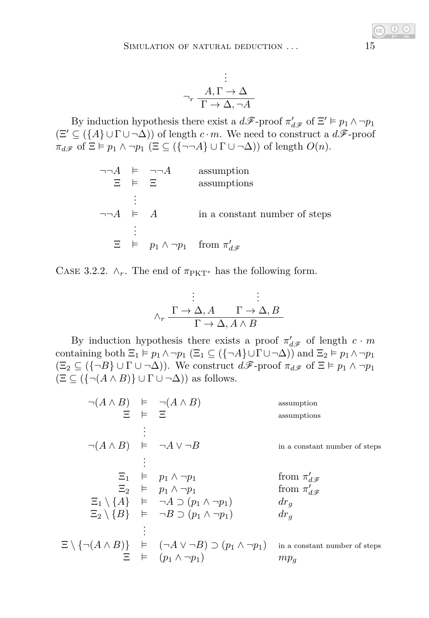$$
\vdots
$$
  

$$
\neg_r \frac{A, \Gamma \to \Delta}{\Gamma \to \Delta, \neg A}
$$

By induction hypothesis there exist a  $d\mathcal{F}$ -proof  $\pi'_{d\mathcal{F}}$  of  $\Xi' \vDash p_1 \wedge \neg p_1$  $(\Xi' \subseteq (\lbrace A \rbrace \cup \Gamma \cup \neg \Delta))$  of length  $c \cdot m$ . We need to construct a  $d\mathscr{F}$ -proof  $\pi_{d\mathscr{F}}$  of  $\Xi \models p_1 \land \neg p_1 \ (\Xi \subseteq (\{\neg \neg A\} \cup \Gamma \cup \neg \Delta))$  of length  $O(n)$ .

$$
\neg\neg A \models \neg\neg A \quad \text{assumption} \\ \Xi \models \Xi \quad \text{assumptions} \\ \vdots \\ \neg\neg A \models A \quad \text{in a constant number of steps} \\ \vdots \\ \Xi \models p_1 \land \neg p_1 \quad \text{from } \pi'_{d\mathscr{F}}
$$

CASE 3.2.2.  $\wedge_r$ . The end of  $\pi_{\text{PKT}^*}$  has the following form.

$$
\vdots
$$
\n
$$
\wedge_r \xrightarrow{\Gamma \to \Delta, A} \xrightarrow{\Gamma \to \Delta, B} \frac{\vdots}{\Gamma \to \Delta, A \wedge B}
$$

By induction hypothesis there exists a proof  $\pi'_{d\mathscr{F}}$  of length  $c \cdot m$ containing both  $\Xi_1 \vDash p_1 \land \neg p_1$  ( $\Xi_1 \subseteq (\{\neg A\} \cup \Gamma \cup \neg \Delta)$ ) and  $\Xi_2 \vDash p_1 \land \neg p_1$  $(\Xi_2 \subseteq (\{\neg B\} \cup \Gamma \cup \neg \Delta))$ . We construct  $d\mathscr{F}\text{-proof } \pi_{d\mathscr{F}}$  of  $\Xi \models p_1 \land \neg p_1$  $(\Xi \subseteq (\{\neg(A \land B)\} \cup \Gamma \cup \neg \Delta))$  as follows.

| $\neg(A \land B) \models \neg(A \land B)$    |                   |                                                                                               | assumption                    |
|----------------------------------------------|-------------------|-----------------------------------------------------------------------------------------------|-------------------------------|
|                                              | $E$ $\models$ $E$ |                                                                                               | assumptions                   |
|                                              |                   |                                                                                               |                               |
| $\neg(A \land B) \models \neg A \lor \neg B$ |                   |                                                                                               | in a constant number of steps |
|                                              |                   |                                                                                               |                               |
|                                              |                   | $\Xi_1$ $\models$ $p_1 \wedge \neg p_1$                                                       | from $\pi'_{d\mathcal{F}}$    |
|                                              |                   | $\Xi_2$ $\models$ $p_1 \wedge \neg p_1$                                                       | from $\pi'_{d\mathcal{R}}$    |
|                                              |                   | $\Xi_1 \setminus \{A\}$ = $\neg A \supset (p_1 \wedge \neg p_1)$                              | $dr_q$                        |
|                                              |                   | $\Xi_2 \setminus \{B\}$ = $\neg B \supset (p_1 \wedge \neg p_1)$                              | $dr_q$                        |
|                                              |                   |                                                                                               |                               |
|                                              |                   | $\Xi \setminus \{\neg(A \land B)\}\models (\neg A \lor \neg B) \supset (p_1 \land \neg p_1).$ | in a constant number of steps |
|                                              |                   | $\Xi$ $\models$ $(p_1 \wedge \neg p_1)$                                                       | $mp_a$                        |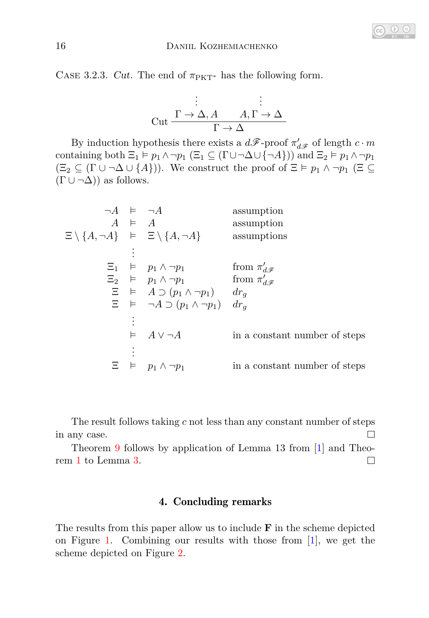CASE 3.2.3. Cut. The end of  $\pi_{\text{PKT}}^*$  has the following form.

$$
\vdots
$$
\n
$$
\text{Cut} \xrightarrow{\Gamma \to \Delta, A} A, \Gamma \to \Delta
$$
\n
$$
\frac{\vdots}{\Gamma \to \Delta}
$$

By induction hypothesis there exists a  $d\mathcal{F}$ -proof  $\pi'_{d\mathcal{F}}$  of length  $c \cdot m$ containing both  $\Xi_1 \models p_1 \land \neg p_1$  ( $\Xi_1 \subseteq (\Gamma \cup \neg \Delta \cup \{\neg A\})$ ) and  $\Xi_2 \models p_1 \land \neg p_1$  $(\Xi_2 \subseteq (\Gamma \cup \neg \Delta \cup \{A\}))$ . We construct the proof of  $\Xi \models p_1 \land \neg p_1 \ (\Xi \subseteq \Box)$  $(\Gamma \cup \neg \Delta)$  as follows.

| assumption                    |
|-------------------------------|
| assumption                    |
| assumptions                   |
|                               |
|                               |
|                               |
|                               |
|                               |
|                               |
| in a constant number of steps |
|                               |
| in a constant number of steps |
|                               |

The result follows taking *c* not less than any constant number of steps in any case.  $\Box$ 

Theorem [9](#page-13-0) follows by application of Lemma 13 from [\[1\]](#page-16-0) and Theorem [1](#page-3-1) to Lemma [3.](#page-13-1)  $\Box$ 

## 4. Concluding remarks

The results from this paper allow us to include **F** in the scheme depicted on Figure [1.](#page-3-0) Combining our results with those from [\[1\]](#page-16-0), we get the scheme depicted on Figure [2.](#page-16-2)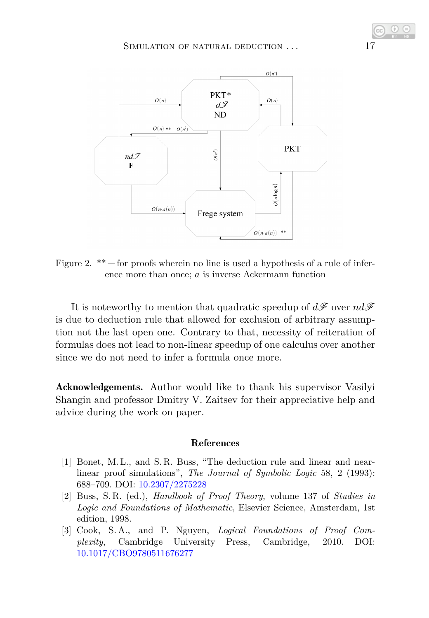

<span id="page-16-2"></span>Figure 2.  $**$  for proofs wherein no line is used a hypothesis of a rule of inference more than once; *a* is inverse Ackermann function

It is noteworthy to mention that quadratic speedup of  $d\mathscr{F}$  over  $nd\mathscr{F}$ is due to deduction rule that allowed for exclusion of arbitrary assumption not the last open one. Contrary to that, necessity of reiteration of formulas does not lead to non-linear speedup of one calculus over another since we do not need to infer a formula once more.

Acknowledgements. Author would like to thank his supervisor Vasilyi Shangin and professor Dmitry V. Zaitsev for their appreciative help and advice during the work on paper.

#### References

- <span id="page-16-0"></span>[1] Bonet, M. L., and S. R. Buss, "The deduction rule and linear and nearlinear proof simulations", *The Journal of Symbolic Logic* 58, 2 (1993): 688–709. DOI: [10.2307/2275228](https://doi.org/10.2307/2275228)
- [2] Buss, S. R. (ed.), *Handbook of Proof Theory*, volume 137 of *Studies in Logic and Foundations of Mathematic*, Elsevier Science, Amsterdam, 1st edition, 1998.
- <span id="page-16-1"></span>[3] Cook, S. A., and P. Nguyen, *Logical Foundations of Proof Complexity*, Cambridge University Press, Cambridge, 2010. DOI: [10.1017/CBO9780511676277](http://dx.doi.org/10.1017/CBO9780511676277)